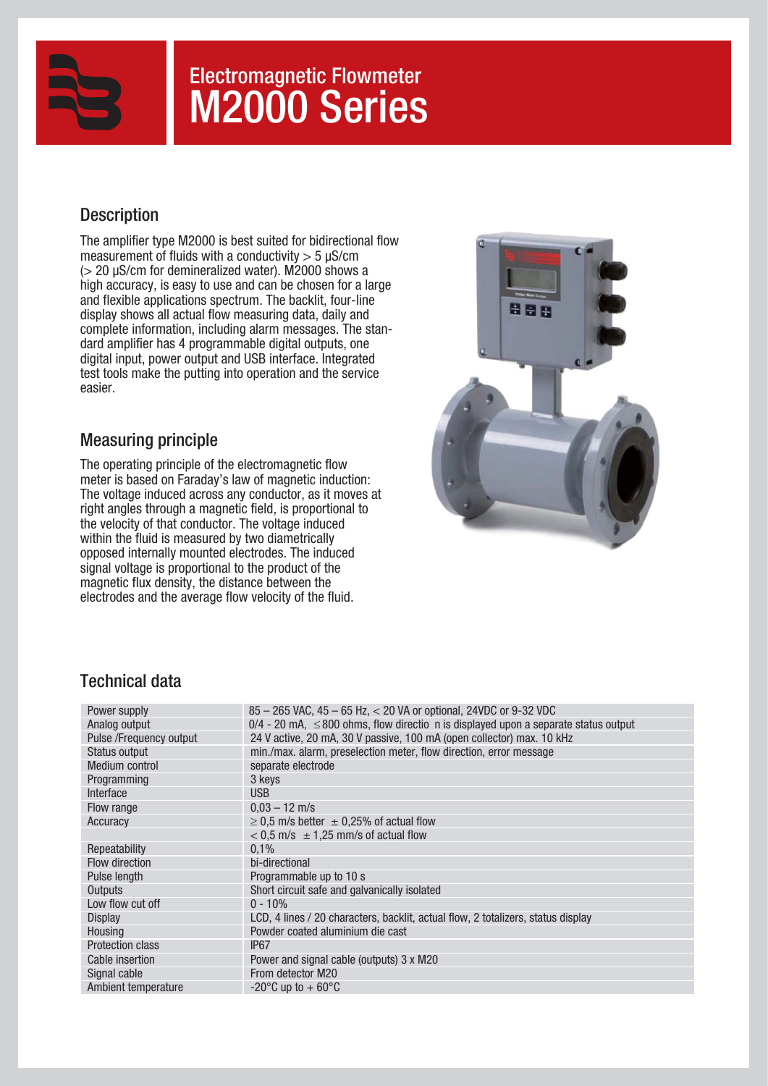

# Electromagnetic Flowmeter M2000 Series

# **Description**

The amplifier type M2000 is best suited for bidirectional flow measurement of fluids with a conductivity  $>$  5 µS/cm  $(> 20 \mu$ S/cm for demineralized water). M2000 shows a high accuracy, is easy to use and can be chosen for a large and flexible applications spectrum. The backlit, four-line display shows all actual flow measuring data, daily and complete information, including alarm messages. The standard amplifier has 4 programmable digital outputs, one digital input, power output and USB interface. Integrated test tools make the putting into operation and the service easier.

# Measuring principle

The operating principle of the electromagnetic flow meter is based on Faraday's law of magnetic induction: The voltage induced across any conductor, as it moves at right angles through a magnetic field, is proportional to the velocity of that conductor. The voltage induced within the fluid is measured by two diametrically opposed internally mounted electrodes. The induced signal voltage is proportional to the product of the magnetic flux density, the distance between the electrodes and the average flow velocity of the fluid.



## Technical data

| Power supply            | 85 - 265 VAC, 45 - 65 Hz, < 20 VA or optional, 24VDC or 9-32 VDC                           |
|-------------------------|--------------------------------------------------------------------------------------------|
| Analog output           | $0/4$ - 20 mA, $\leq$ 800 ohms, flow directio n is displayed upon a separate status output |
| Pulse /Frequency output | 24 V active, 20 mA, 30 V passive, 100 mA (open collector) max. 10 kHz                      |
| Status output           | min./max. alarm, preselection meter, flow direction, error message                         |
| Medium control          | separate electrode                                                                         |
| Programming             | 3 keys                                                                                     |
| Interface               | <b>USB</b>                                                                                 |
| Flow range              | $0.03 - 12$ m/s                                                                            |
| Accuracy                | $\geq$ 0.5 m/s better $\pm$ 0.25% of actual flow                                           |
|                         | $<$ 0.5 m/s $\pm$ 1.25 mm/s of actual flow                                                 |
| Repeatability           | 0.1%                                                                                       |
| Flow direction          | bi-directional                                                                             |
| Pulse length            | Programmable up to 10 s                                                                    |
| Outputs                 | Short circuit safe and galvanically isolated                                               |
| Low flow cut off        | $0 - 10%$                                                                                  |
| <b>Display</b>          | LCD, 4 lines / 20 characters, backlit, actual flow, 2 totalizers, status display           |
| Housing                 | Powder coated aluminium die cast                                                           |
| <b>Protection class</b> | IP <sub>67</sub>                                                                           |
| Cable insertion         | Power and signal cable (outputs) 3 x M20                                                   |
| Signal cable            | From detector M20                                                                          |
| Ambient temperature     | $-20^{\circ}$ C up to $+60^{\circ}$ C                                                      |
|                         |                                                                                            |